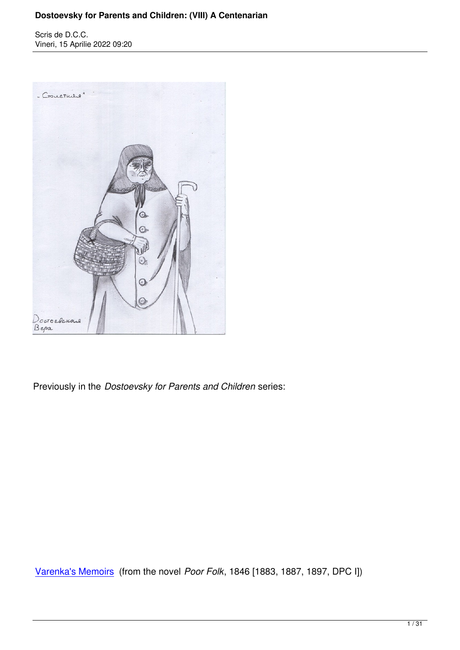

Previously in the *Dostoevsky for Parents and Children* series:

Varenka's Memoirs (from the novel *Poor Folk*, 1846 [1883, 1887, 1897, DPC I])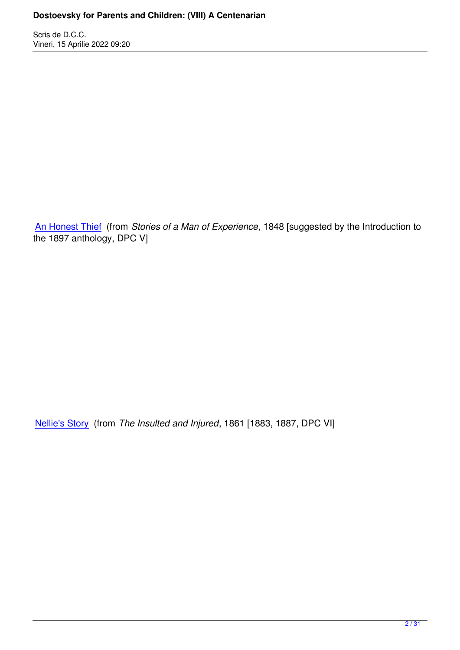An Honest Thief (from *Stories of a Man of Experience*, 1848 [suggested by the Introduction to the 1897 anthology, DPC V]

Nellie's Story (from *The Insulted and Injured*, 1861 [1883, 1887, DPC VI]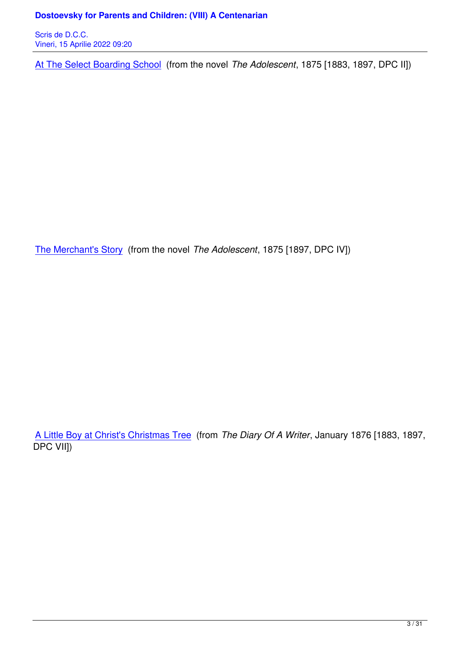At The Select Boarding School (from the novel *The Adolescent*, 1875 [1883, 1897, DPC II])

The Merchant's Story (from the novel *The Adolescent*, 1875 [1897, DPC IV])

A Little Boy at Christ's Christmas Tree (from *The Diary Of A Writer*, January 1876 [1883, 1897, DPC VII])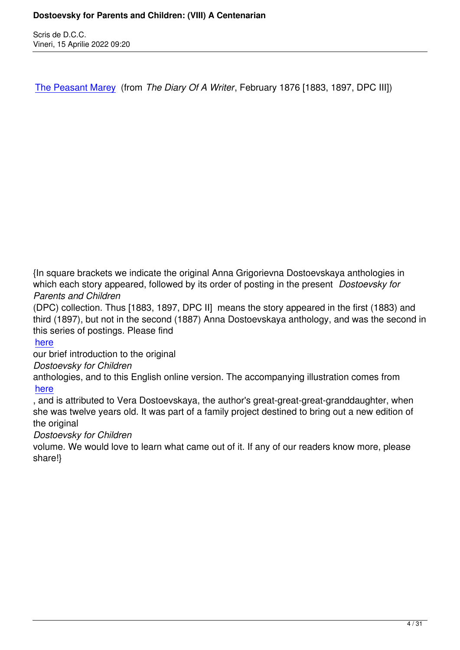The Peasant Marey (from *The Diary Of A Writer*, February 1876 [1883, 1897, DPC III])

{In square brackets we indicate the original Anna Grigorievna Dostoevskaya anthologies in which each story appeared, followed by its order of posting in the present *Dostoevsky for Parents and Children*

(DPC) collection. Thus [1883, 1897, DPC II] means the story appeared in the first (1883) and third (1897), but not in the second (1887) Anna Dostoevskaya anthology, and was the second in this series of postings. Please find

#### here

our brief introduction to the original

#### *Dostoevsky for Children*

[antho](https://karamazov.ro/index.php/ce-citim/716-dostoevsky-for-parents-and-children-i-varenkas-memoirs.html)logies, and to this English online version. The accompanying illustration comes from here

, and is attributed to Vera Dostoevskaya, the author's great-great-great-granddaughter, when she was twelve years old. It was part of a family project destined to bring out a new edition of [the o](https://archive.ph/0e8UM)riginal

#### *Dostoevsky for Children*

volume. We would love to learn what came out of it. If any of our readers know more, please share!}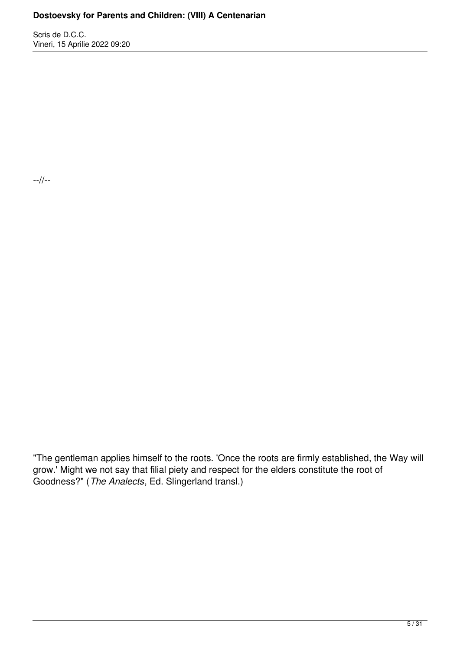Scris de D.C.C. Vineri, 15 Aprilie 2022 09:20

--//--

"The gentleman applies himself to the roots. 'Once the roots are firmly established, the Way will grow.' Might we not say that filial piety and respect for the elders constitute the root of Goodness?" (*The Analects*, Ed. Slingerland transl.)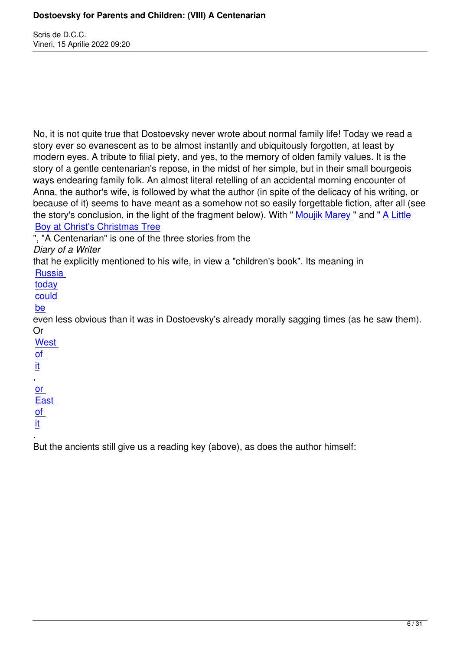No, it is not quite true that Dostoevsky never wrote about normal family life! Today we read a story ever so evanescent as to be almost instantly and ubiquitously forgotten, at least by modern eyes. A tribute to filial piety, and yes, to the memory of olden family values. It is the story of a gentle centenarian's repose, in the midst of her simple, but in their small bourgeois ways endearing family folk. An almost literal retelling of an accidental morning encounter of Anna, the author's wife, is followed by what the author (in spite of the delicacy of his writing, or because of it) seems to have meant as a somehow not so easily forgettable fiction, after all (see the story's conclusion, in the light of the fragment below). With " Moujik Marey " and " A Little Boy at Christ's Christmas Tree

", "A Centenarian" is one of the three stories from the

*Diary of a Writer*

[that he explicitly mentioned to h](index.php/ce-citim/722-dostoevsky-for-parents-and-children-vii-a-little-boy-at-christs-christmas-tree.html)is wife, in view a "children's boo[k". Its meaning](http://www.karamazov.ro/index.php/dostoievski/718-dostoevsky-for-parents-and-children-iii-the-peasant-marey.html) in

**Russia** 

today

could

[be](https://archive.ph/8OhmS#selection-589.0-589.70)

[even le](https://edwardslavsquat.substack.com/p/yes-russia-is-complicit-in-the-great?s=r)ss obvious than it was in Dostoevsky's already morally sagging times (as he saw them). [Or](https://edwardslavsquat.substack.com/p/slaughterhouse-russia?s=r) 

**[We](https://edwardslavsquat.substack.com/p/they-were-simply-killed-brazen-butchery?s=r)st** of

it

[,](https://archive.ph/gihNM#selection-6361.312-6361.575)  [or](https://off-guardian.org/tag/elderly/) 

[E](https://off-guardian.org/tag/nursing-homes/)ast

of

[it](https://archive.ph/49klY)

[.](https://archive.ph/gVTUF)  [But](https://archive.ph/WrqH1) the ancients still give us a reading key (above), as does the author himself: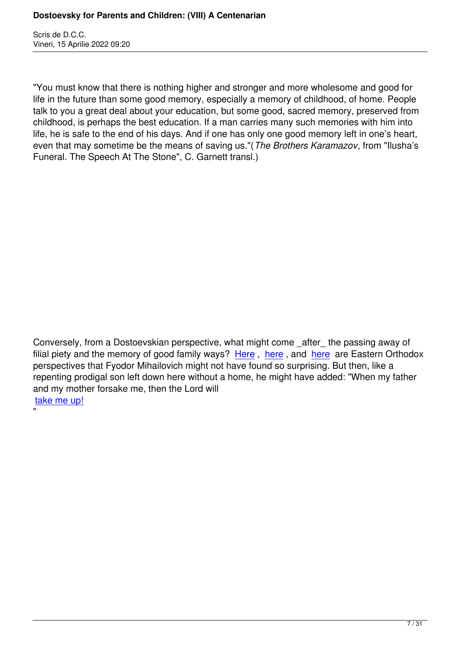"

"You must know that there is nothing higher and stronger and more wholesome and good for life in the future than some good memory, especially a memory of childhood, of home. People talk to you a great deal about your education, but some good, sacred memory, preserved from childhood, is perhaps the best education. If a man carries many such memories with him into life, he is safe to the end of his days. And if one has only one good memory left in one's heart, even that may sometime be the means of saving us."(*The Brothers Karamazov*, from "Ilusha's Funeral. The Speech At The Stone", C. Garnett transl.)

Conversely, from a Dostoevskian perspective, what might come \_after\_ the passing away of filial piety and the memory of good family ways? Here, here, and here are Eastern Orthodox perspectives that Fyodor Mihailovich might not have found so surprising. But then, like a repenting prodigal son left down here without a home, he might have added: "When my father and my mother forsake me, then the Lord will take me up!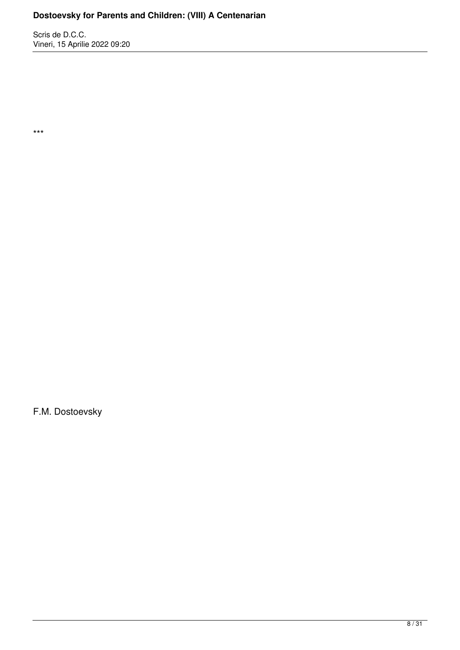Scris de D.C.C. Vineri, 15 Aprilie 2022 09:20

\*\*\*

F.M. Dostoevsky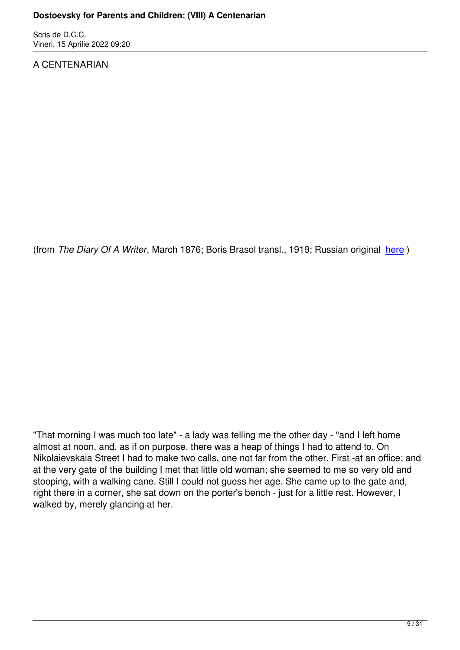### A CENTENARIAN

(from *The Diary Of A Writer*, March 1876; Boris Brasol transl., 1919; Russian original here )

"That morning I was much too late" - a lady was telling me the other day - "and I left home almost at noon, and, as if on purpose, there was a heap of things I had to attend to. On Nikolaievskaia Street I had to make two calls, one not far from the other. First -at an office; and at the very gate of the building I met that little old woman; she seemed to me so very old and stooping, with a walking cane. Still I could not guess her age. She came up to the gate and, right there in a corner, she sat down on the porter's bench - just for a little rest. However, I walked by, merely glancing at her.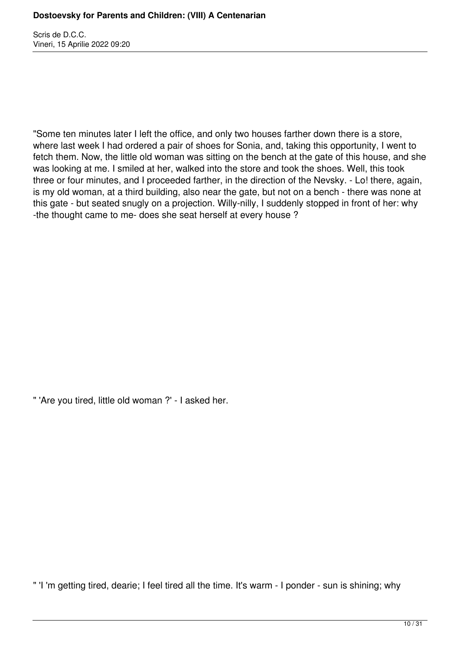"Some ten minutes later I left the office, and only two houses farther down there is a store, where last week I had ordered a pair of shoes for Sonia, and, taking this opportunity, I went to fetch them. Now, the little old woman was sitting on the bench at the gate of this house, and she was looking at me. I smiled at her, walked into the store and took the shoes. Well, this took three or four minutes, and I proceeded farther, in the direction of the Nevsky. - Lo! there, again, is my old woman, at a third building, also near the gate, but not on a bench - there was none at this gate - but seated snugly on a projection. Willy-nilly, I suddenly stopped in front of her: why -the thought came to me- does she seat herself at every house ?

" 'Are you tired, little old woman ?' - I asked her.

" 'I 'm getting tired, dearie; I feel tired all the time. It's warm - I ponder - sun is shining; why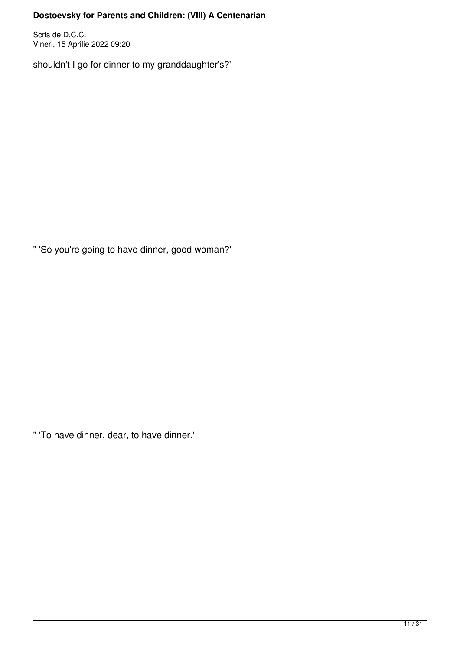Scris de D.C.C. Vineri, 15 Aprilie 2022 09:20

shouldn't I go for dinner to my granddaughter's?'

" 'So you're going to have dinner, good woman?'

" 'To have dinner, dear, to have dinner.'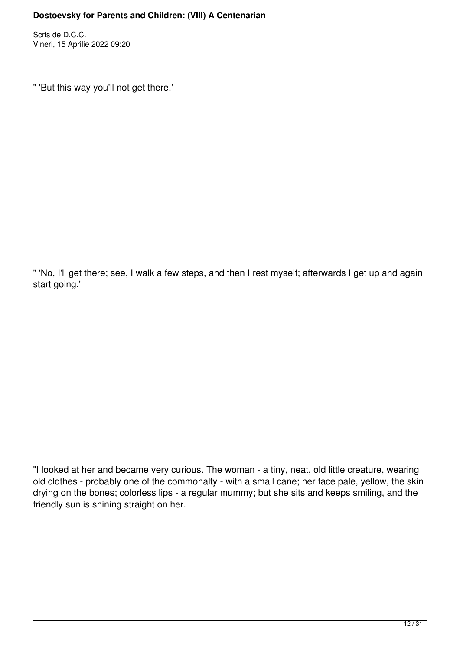" 'But this way you'll not get there.'

" 'No, I'll get there; see, I walk a few steps, and then I rest myself; afterwards I get up and again start going.'

"I looked at her and became very curious. The woman - a tiny, neat, old little creature, wearing old clothes - probably one of the commonalty - with a small cane; her face pale, yellow, the skin drying on the bones; colorless lips - a regular mummy; but she sits and keeps smiling, and the friendly sun is shining straight on her.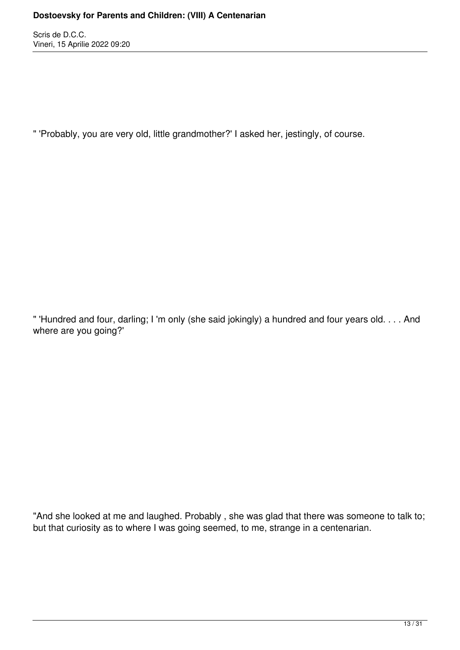" 'Probably, you are very old, little grandmother?' I asked her, jestingly, of course.

" 'Hundred and four, darling; I 'm only (she said jokingly) a hundred and four years old. . . . And where are you going?'

"And she looked at me and laughed. Probably , she was glad that there was someone to talk to; but that curiosity as to where I was going seemed, to me, strange in a centenarian.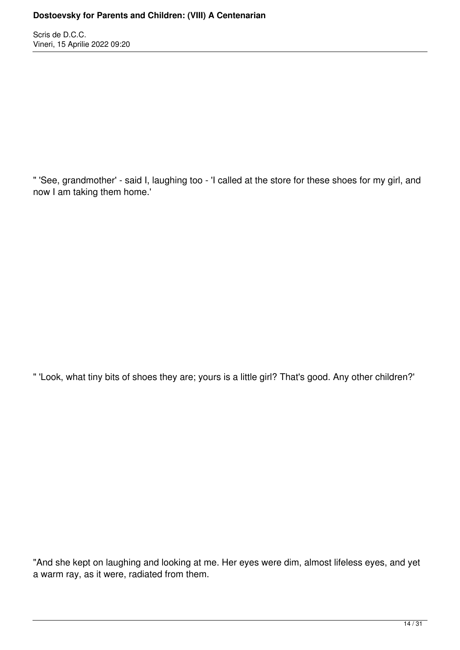" 'See, grandmother' - said I, laughing too - 'I called at the store for these shoes for my girl, and now I am taking them home.'

" 'Look, what tiny bits of shoes they are; yours is a little girl? That's good. Any other children?'

"And she kept on laughing and looking at me. Her eyes were dim, almost lifeless eyes, and yet a warm ray, as it were, radiated from them.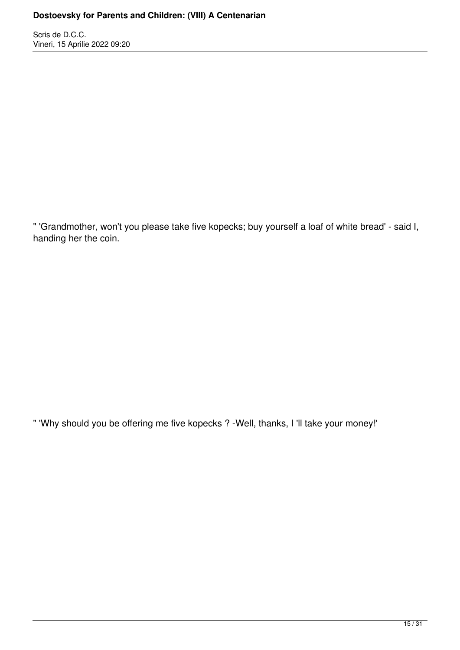" 'Grandmother, won't you please take five kopecks; buy yourself a loaf of white bread' - said I, handing her the coin.

" 'Why should you be offering me five kopecks ? -Well, thanks, I 'll take your money!'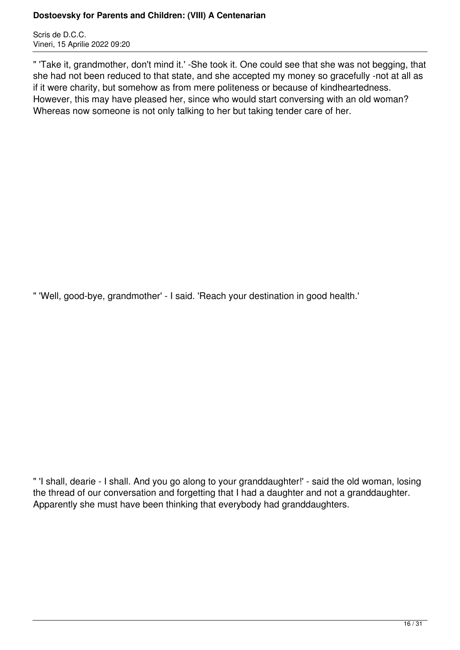Scris de D.C.C. Vineri, 15 Aprilie 2022 09:20

" 'Take it, grandmother, don't mind it.' -She took it. One could see that she was not begging, that she had not been reduced to that state, and she accepted my money so gracefully -not at all as if it were charity, but somehow as from mere politeness or because of kindheartedness. However, this may have pleased her, since who would start conversing with an old woman? Whereas now someone is not only talking to her but taking tender care of her.

" 'Well, good-bye, grandmother' - I said. 'Reach your destination in good health.'

" 'I shall, dearie - I shall. And you go along to your granddaughter!' - said the old woman, losing the thread of our conversation and forgetting that I had a daughter and not a granddaughter. Apparently she must have been thinking that everybody had granddaughters.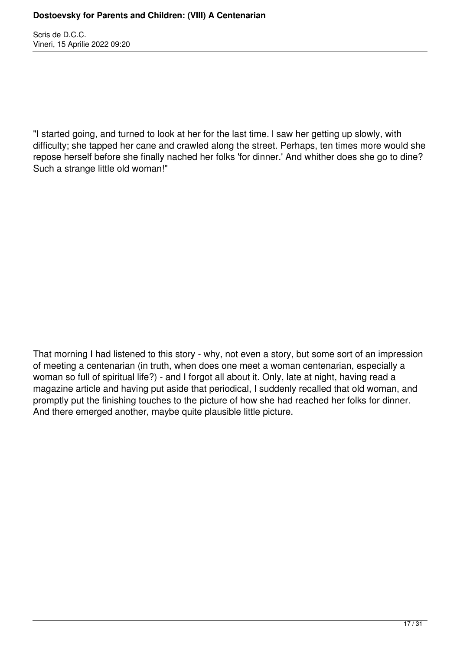"I started going, and turned to look at her for the last time. l saw her getting up slowly, with difficulty; she tapped her cane and crawled along the street. Perhaps, ten times more would she repose herself before she finally nached her folks 'for dinner.' And whither does she go to dine? Such a strange little old woman!"

That morning I had listened to this story - why, not even a story, but some sort of an impression of meeting a centenarian (in truth, when does one meet a woman centenarian, especially a woman so full of spiritual life?) - and I forgot all about it. Only, late at night, having read a magazine article and having put aside that periodical, I suddenly recalled that old woman, and promptly put the finishing touches to the picture of how she had reached her folks for dinner. And there emerged another, maybe quite plausible little picture.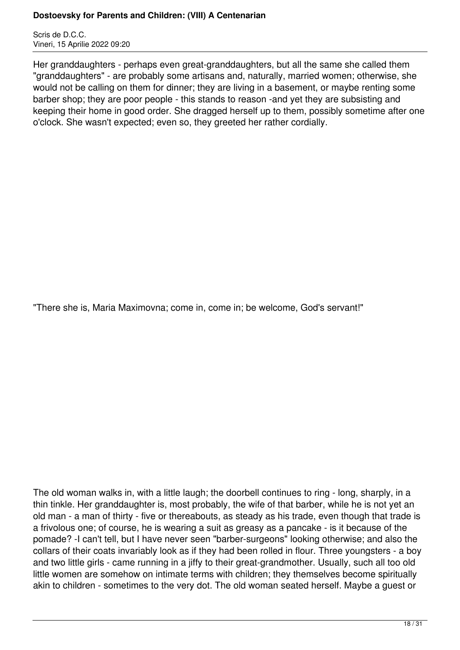Scris de D.C.C. Vineri, 15 Aprilie 2022 09:20

Her granddaughters - perhaps even great-granddaughters, but all the same she called them "granddaughters" - are probably some artisans and, naturally, married women; otherwise, she would not be calling on them for dinner; they are living in a basement, or maybe renting some barber shop; they are poor people - this stands to reason -and yet they are subsisting and keeping their home in good order. She dragged herself up to them, possibly sometime after one o'clock. She wasn't expected; even so, they greeted her rather cordially.

"There she is, Maria Maximovna; come in, come in; be welcome, God's servant!"

The old woman walks in, with a little laugh; the doorbell continues to ring - long, sharply, in a thin tinkle. Her granddaughter is, most probably, the wife of that barber, while he is not yet an old man - a man of thirty - five or thereabouts, as steady as his trade, even though that trade is a frivolous one; of course, he is wearing a suit as greasy as a pancake - is it because of the pomade? -I can't tell, but I have never seen "barber-surgeons" looking otherwise; and also the collars of their coats invariably look as if they had been rolled in flour. Three youngsters - a boy and two little girls - came running in a jiffy to their great-grandmother. Usually, such all too old little women are somehow on intimate terms with children; they themselves become spiritually akin to children - sometimes to the very dot. The old woman seated herself. Maybe a guest or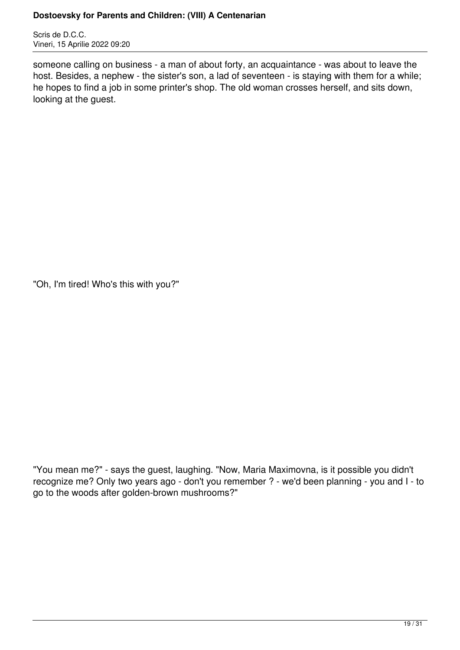Scris de D.C.C. Vineri, 15 Aprilie 2022 09:20

someone calling on business - a man of about forty, an acquaintance - was about to leave the host. Besides, a nephew - the sister's son, a lad of seventeen - is staying with them for a while; he hopes to find a job in some printer's shop. The old woman crosses herself, and sits down, looking at the guest.

"Oh, I'm tired! Who's this with you?"

"You mean me?" - says the guest, laughing. "Now, Maria Maximovna, is it possible you didn't recognize me? Only two years ago - don't you remember ? - we'd been planning - you and I - to go to the woods after golden-brown mushrooms?"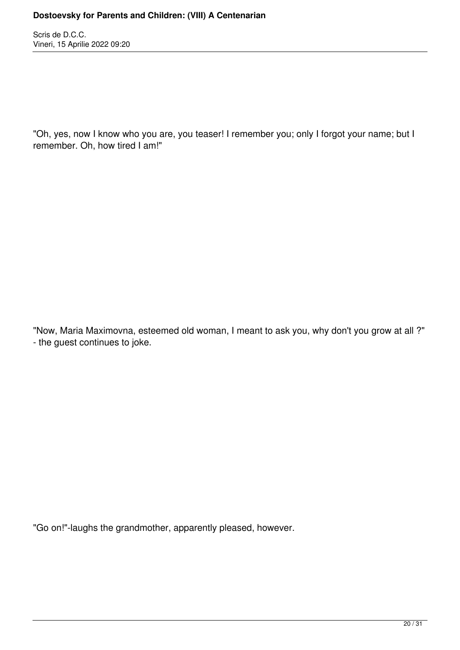"Oh, yes, now I know who you are, you teaser! I remember you; only I forgot your name; but I remember. Oh, how tired I am!"

"Now, Maria Maximovna, esteemed old woman, I meant to ask you, why don't you grow at all ?" - the guest continues to joke.

"Go on!"-laughs the grandmother, apparently pleased, however.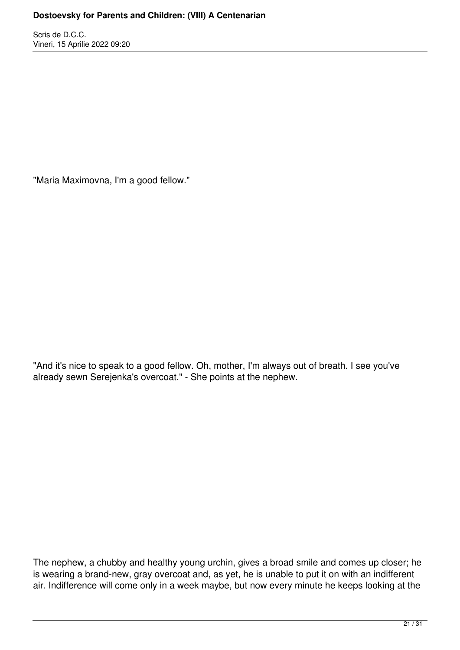"Maria Maximovna, I'm a good fellow."

"And it's nice to speak to a good fellow. Oh, mother, I'm always out of breath. I see you've already sewn Serejenka's overcoat." - She points at the nephew.

The nephew, a chubby and healthy young urchin, gives a broad smile and comes up closer; he is wearing a brand-new, gray overcoat and, as yet, he is unable to put it on with an indifferent air. Indifference will come only in a week maybe, but now every minute he keeps looking at the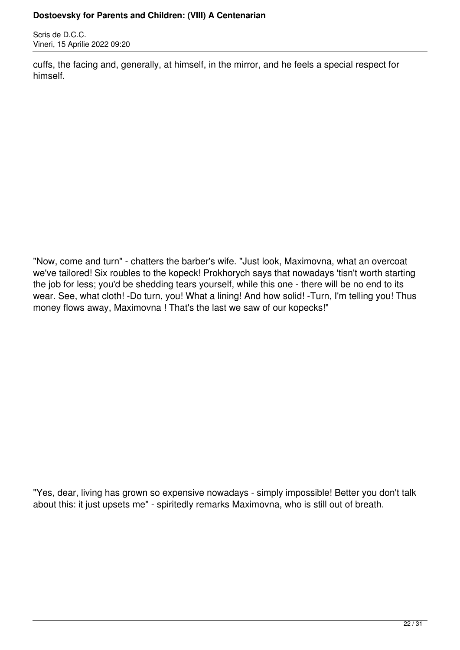Scris de D.C.C. Vineri, 15 Aprilie 2022 09:20

cuffs, the facing and, generally, at himself, in the mirror, and he feels a special respect for himself.

"Now, come and turn" - chatters the barber's wife. "Just look, Maximovna, what an overcoat we've tailored! Six roubles to the kopeck! Prokhorych says that nowadays 'tisn't worth starting the job for less; you'd be shedding tears yourself, while this one - there will be no end to its wear. See, what cloth! -Do turn, you! What a lining! And how solid! -Turn, I'm telling you! Thus money flows away, Maximovna ! That's the last we saw of our kopecks!"

"Yes, dear, living has grown so expensive nowadays - simply impossible! Better you don't talk about this: it just upsets me" - spiritedly remarks Maximovna, who is still out of breath.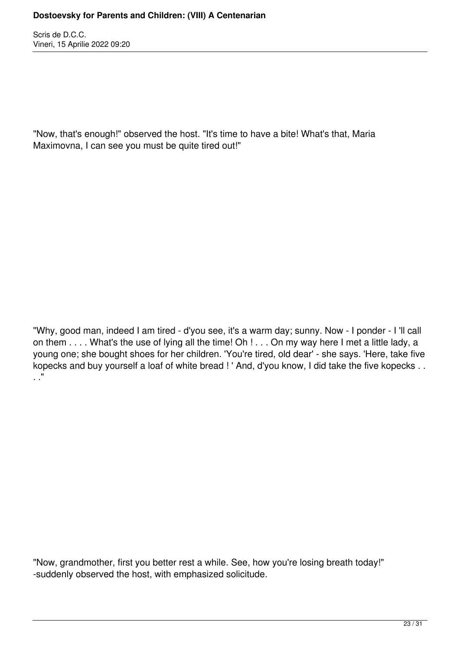"Now, that's enough!" observed the host. "It's time to have a bite! What's that, Maria Maximovna, I can see you must be quite tired out!"

"Why, good man, indeed I am tired - d'you see, it's a warm day; sunny. Now - I ponder - I 'll call on them . . . . What's the use of lying all the time! Oh ! . . . On my way here I met a little lady, a young one; she bought shoes for her children. 'You're tired, old dear' - she says. 'Here, take five kopecks and buy yourself a loaf of white bread ! ' And, d'you know, I did take the five kopecks . .  $\mathbf{r}$ .

"Now, grandmother, first you better rest a while. See, how you're losing breath today!" -suddenly observed the host, with emphasized solicitude.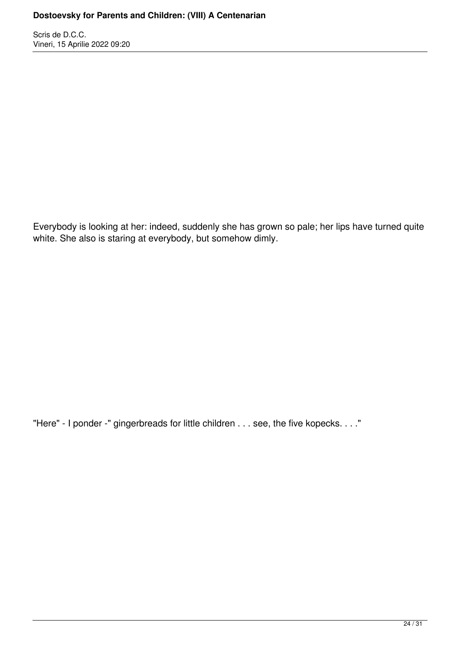Everybody is looking at her: indeed, suddenly she has grown so pale; her lips have turned quite white. She also is staring at everybody, but somehow dimly.

"Here" - I ponder -" gingerbreads for little children . . . see, the five kopecks. . . ."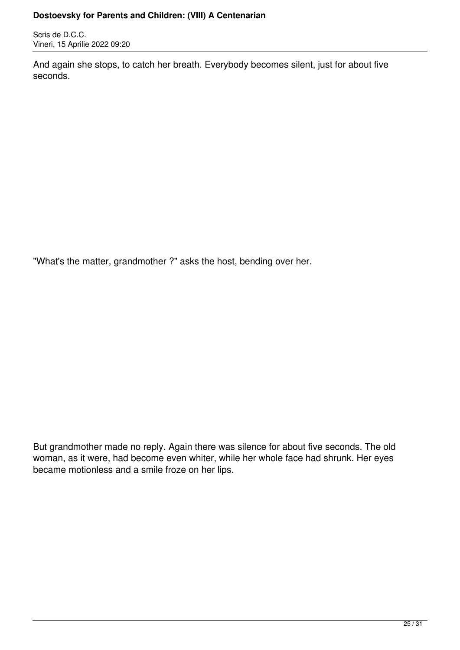Scris de D.C.C. Vineri, 15 Aprilie 2022 09:20

And again she stops, to catch her breath. Everybody becomes silent, just for about five seconds.

"What's the matter, grandmother ?" asks the host, bending over her.

But grandmother made no reply. Again there was silence for about five seconds. The old woman, as it were, had become even whiter, while her whole face had shrunk. Her eyes became motionless and a smile froze on her lips.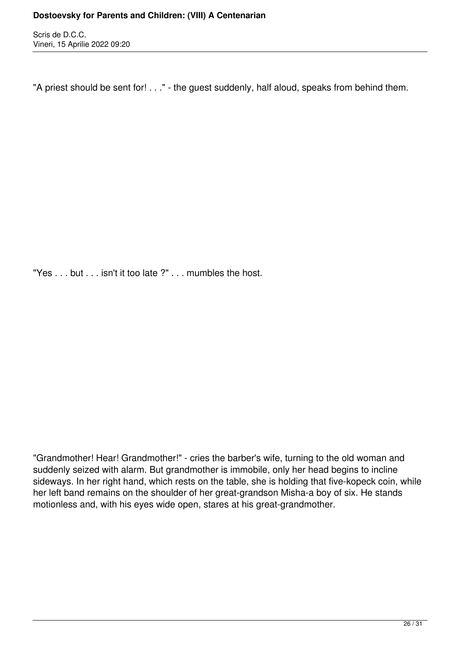"A priest should be sent for! . . ." - the guest suddenly, half aloud, speaks from behind them.

"Yes . . . but . . . isn't it too late ?" . . . mumbles the host.

"Grandmother! Hear! Grandmother!" - cries the barber's wife, turning to the old woman and suddenly seized with alarm. But grandmother is immobile, only her head begins to incline sideways. In her right hand, which rests on the table, she is holding that five-kopeck coin, while her left band remains on the shoulder of her great-grandson Misha-a boy of six. He stands motionless and, with his eyes wide open, stares at his great-grandmother.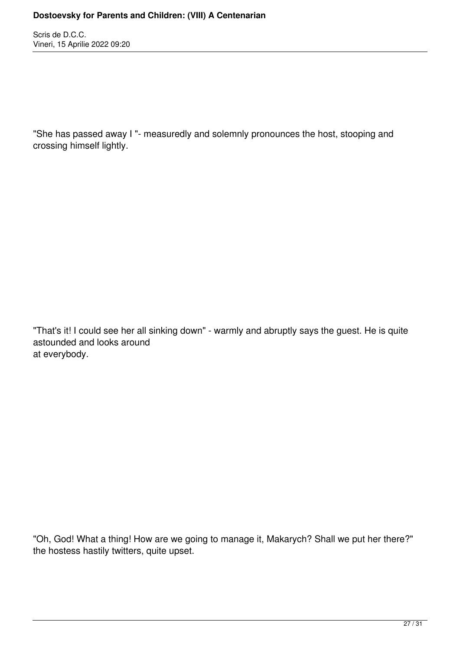"She has passed away I "- measuredly and solemnly pronounces the host, stooping and crossing himself lightly.

"That's it! I could see her all sinking down" - warmly and abruptly says the guest. He is quite astounded and looks around at everybody.

"Oh, God! What a thing! How are we going to manage it, Makarych? Shall we put her there?" the hostess hastily twitters, quite upset.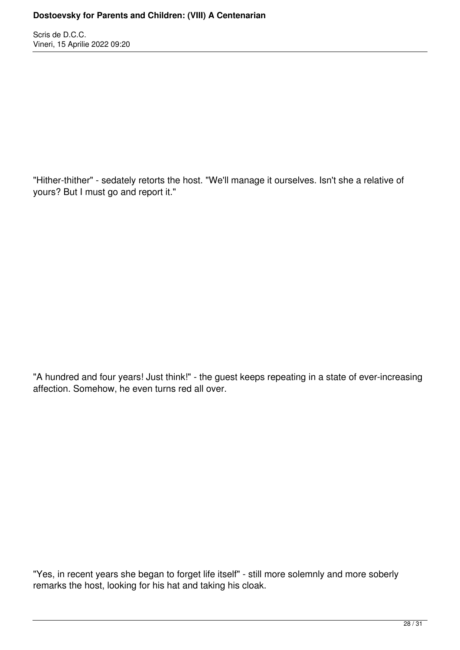"Hither-thither" - sedately retorts the host. "We'll manage it ourselves. Isn't she a relative of yours? But I must go and report it."

"A hundred and four years! Just think!" - the guest keeps repeating in a state of ever-increasing affection. Somehow, he even turns red all over.

"Yes, in recent years she began to forget life itself" - still more solemnly and more soberly remarks the host, looking for his hat and taking his cloak.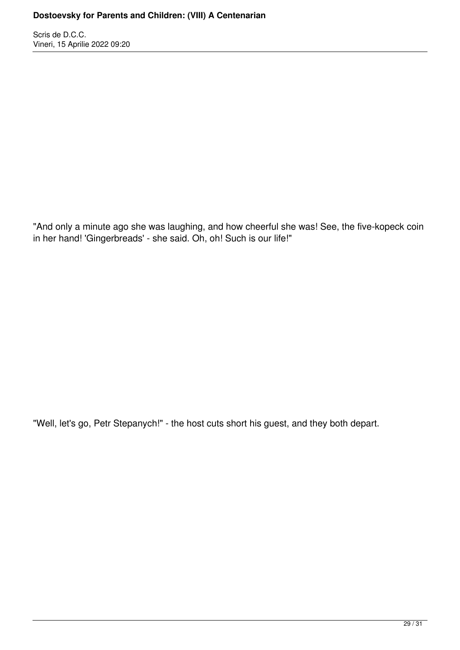"And only a minute ago she was laughing, and how cheerful she was! See, the five-kopeck coin in her hand! 'Gingerbreads' - she said. Oh, oh! Such is our life!"

"Well, let's go, Petr Stepanych!" - the host cuts short his guest, and they both depart.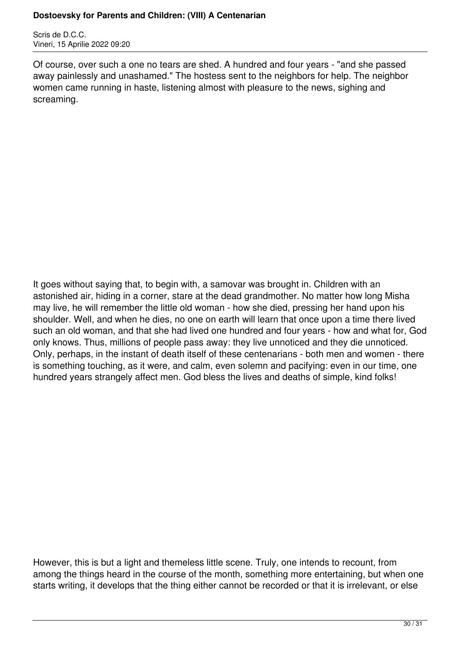Scris de D.C.C. Vineri, 15 Aprilie 2022 09:20

Of course, over such a one no tears are shed. A hundred and four years - "and she passed away painlessly and unashamed." The hostess sent to the neighbors for help. The neighbor women came running in haste, listening almost with pleasure to the news, sighing and screaming.

It goes without saying that, to begin with, a samovar was brought in. Children with an astonished air, hiding in a corner, stare at the dead grandmother. No matter how long Misha may live, he will remember the little old woman - how she died, pressing her hand upon his shoulder. Well, and when he dies, no one on earth will learn that once upon a time there lived such an old woman, and that she had lived one hundred and four years - how and what for, God only knows. Thus, millions of people pass away: they live unnoticed and they die unnoticed. Only, perhaps, in the instant of death itself of these centenarians - both men and women - there is something touching, as it were, and calm, even solemn and pacifying: even in our time, one hundred years strangely affect men. God bless the lives and deaths of simple, kind folks!

However, this is but a light and themeless little scene. Truly, one intends to recount, from among the things heard in the course of the month, something more entertaining, but when one starts writing, it develops that the thing either cannot be recorded or that it is irrelevant, or else